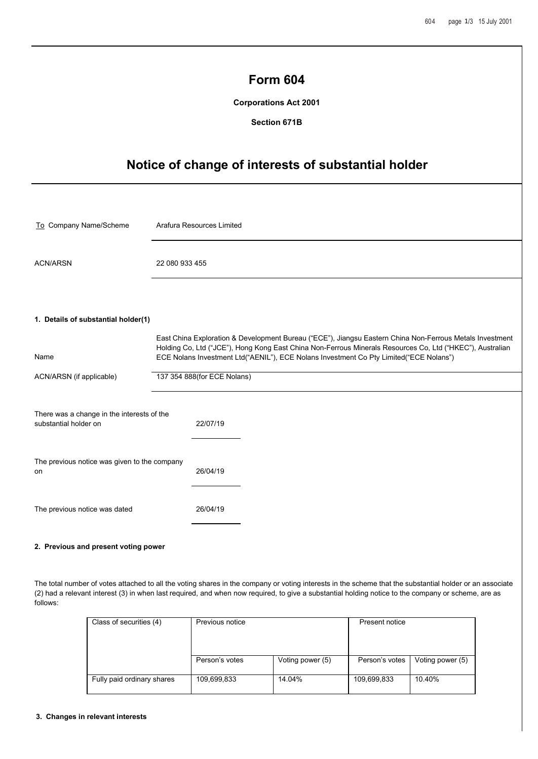|                                                                     | <b>Form 604</b><br><b>Corporations Act 2001</b><br>Section 671B |                           |                                                                                                                                                                                                                                                                                                                 |  |  |
|---------------------------------------------------------------------|-----------------------------------------------------------------|---------------------------|-----------------------------------------------------------------------------------------------------------------------------------------------------------------------------------------------------------------------------------------------------------------------------------------------------------------|--|--|
| Notice of change of interests of substantial holder                 |                                                                 |                           |                                                                                                                                                                                                                                                                                                                 |  |  |
| To Company Name/Scheme                                              |                                                                 | Arafura Resources Limited |                                                                                                                                                                                                                                                                                                                 |  |  |
| <b>ACN/ARSN</b>                                                     | 22 080 933 455                                                  |                           |                                                                                                                                                                                                                                                                                                                 |  |  |
| 1. Details of substantial holder(1)<br>Name                         |                                                                 |                           | East China Exploration & Development Bureau ("ECE"), Jiangsu Eastern China Non-Ferrous Metals Investment<br>Holding Co, Ltd ("JCE"), Hong Kong East China Non-Ferrous Minerals Resources Co, Ltd ("HKEC"), Australian<br>ECE Nolans Investment Ltd("AENIL"), ECE Nolans Investment Co Pty Limited("ECE Nolans") |  |  |
| ACN/ARSN (if applicable)                                            | 137 354 888(for ECE Nolans)                                     |                           |                                                                                                                                                                                                                                                                                                                 |  |  |
| There was a change in the interests of the<br>substantial holder on |                                                                 | 22/07/19                  |                                                                                                                                                                                                                                                                                                                 |  |  |
| The previous notice was given to the company<br>on                  |                                                                 | 26/04/19                  |                                                                                                                                                                                                                                                                                                                 |  |  |
| The previous notice was dated                                       |                                                                 | 26/04/19                  |                                                                                                                                                                                                                                                                                                                 |  |  |

# **2. Previous and present voting power**

The total number of votes attached to all the voting shares in the company or voting interests in the scheme that the substantial holder or an associate (2) had a relevant interest (3) in when last required, and when now required, to give a substantial holding notice to the company or scheme, are as follows:

| Class of securities (4)    | Previous notice |                  | Present notice |                  |
|----------------------------|-----------------|------------------|----------------|------------------|
|                            | Person's votes  | Voting power (5) | Person's votes | Voting power (5) |
| Fully paid ordinary shares | 109,699,833     | 14.04%           | 109,699,833    | 10.40%           |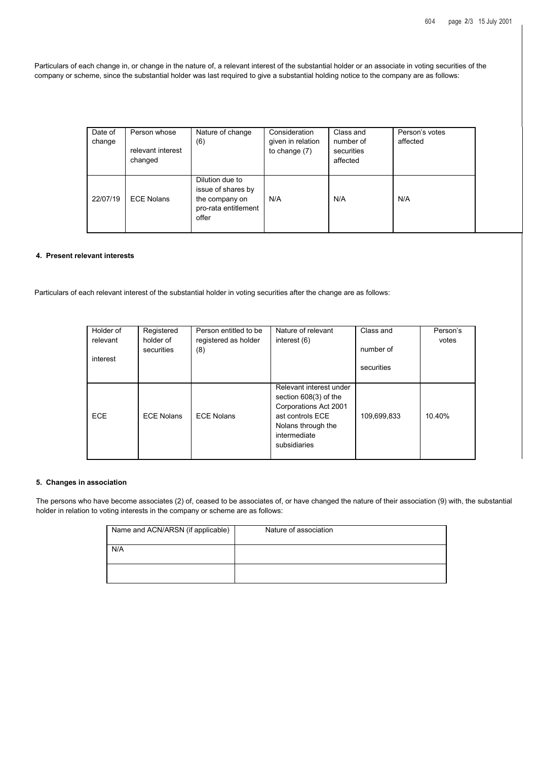Particulars of each change in, or change in the nature of, a relevant interest of the substantial holder or an associate in voting securities of the company or scheme, since the substantial holder was last required to give a substantial holding notice to the company are as follows:

| Date of<br>change | Person whose<br>relevant interest<br>changed | Nature of change<br>(6)                                                                  | Consideration<br>given in relation<br>to change $(7)$ | Class and<br>number of<br>securities<br>affected | Person's votes<br>affected |
|-------------------|----------------------------------------------|------------------------------------------------------------------------------------------|-------------------------------------------------------|--------------------------------------------------|----------------------------|
| 22/07/19          | <b>ECE Nolans</b>                            | Dilution due to<br>issue of shares by<br>the company on<br>pro-rata entitlement<br>offer | N/A                                                   | N/A                                              | N/A                        |

### **4. Present relevant interests**

Particulars of each relevant interest of the substantial holder in voting securities after the change are as follows:

| Holder of<br>relevant<br>interest | Registered<br>holder of<br>securities | Person entitled to be<br>registered as holder<br>(8) | Nature of relevant<br>interest (6)                                                                                                                  | Class and<br>number of<br>securities | Person's<br>votes |
|-----------------------------------|---------------------------------------|------------------------------------------------------|-----------------------------------------------------------------------------------------------------------------------------------------------------|--------------------------------------|-------------------|
| <b>ECE</b>                        | <b>ECE Nolans</b>                     | <b>ECE Nolans</b>                                    | Relevant interest under<br>section 608(3) of the<br>Corporations Act 2001<br>ast controls ECE<br>Nolans through the<br>intermediate<br>subsidiaries | 109,699,833                          | 10.40%            |

### **5. Changes in association**

The persons who have become associates (2) of, ceased to be associates of, or have changed the nature of their association (9) with, the substantial holder in relation to voting interests in the company or scheme are as follows:

| Name and ACN/ARSN (if applicable) | Nature of association |
|-----------------------------------|-----------------------|
| N/A                               |                       |
|                                   |                       |